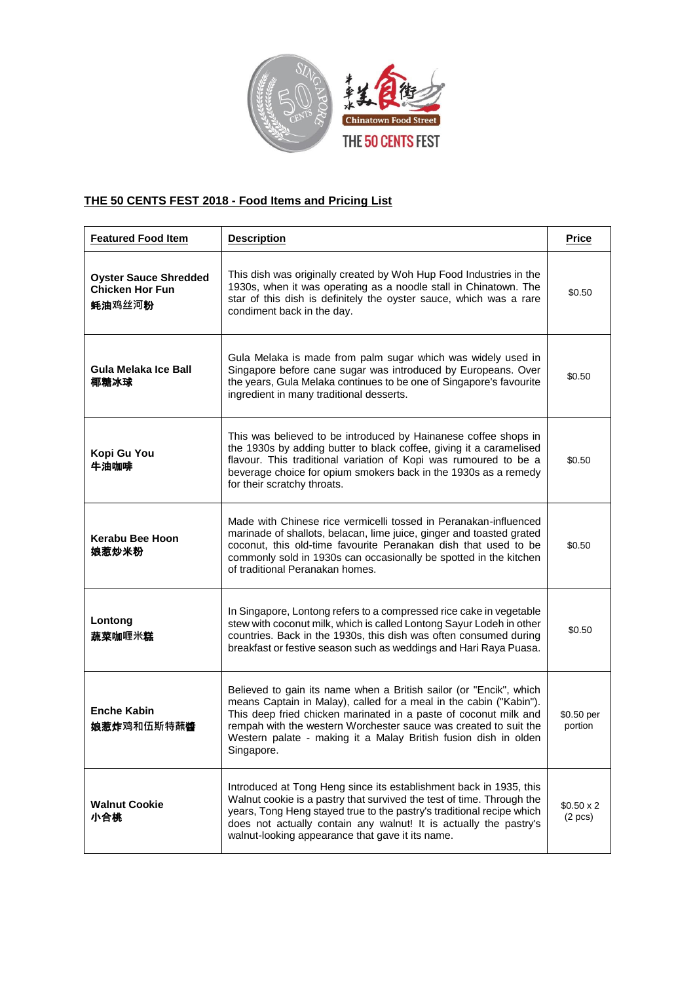

## **THE 50 CENTS FEST 2018 - Food Items and Pricing List**

| <b>Featured Food Item</b>                                                        | <b>Description</b>                                                                                                                                                                                                                                                                                                                                                | <b>Price</b>                 |
|----------------------------------------------------------------------------------|-------------------------------------------------------------------------------------------------------------------------------------------------------------------------------------------------------------------------------------------------------------------------------------------------------------------------------------------------------------------|------------------------------|
| <b>Oyster Sauce Shredded</b><br><b>Chicken Hor Fun</b><br><b>蚝油</b> 鸡丝河 <b>粉</b> | This dish was originally created by Woh Hup Food Industries in the<br>1930s, when it was operating as a noodle stall in Chinatown. The<br>star of this dish is definitely the oyster sauce, which was a rare<br>condiment back in the day.                                                                                                                        | \$0.50                       |
| Gula Melaka Ice Ball<br>椰糖冰球                                                     | Gula Melaka is made from palm sugar which was widely used in<br>Singapore before cane sugar was introduced by Europeans. Over<br>the years, Gula Melaka continues to be one of Singapore's favourite<br>ingredient in many traditional desserts.                                                                                                                  | \$0.50                       |
| Kopi Gu You<br>牛油咖啡                                                              | This was believed to be introduced by Hainanese coffee shops in<br>the 1930s by adding butter to black coffee, giving it a caramelised<br>flavour. This traditional variation of Kopi was rumoured to be a<br>beverage choice for opium smokers back in the 1930s as a remedy<br>for their scratchy throats.                                                      | \$0.50                       |
| <b>Kerabu Bee Hoon</b><br>娘惹炒米粉                                                  | Made with Chinese rice vermicelli tossed in Peranakan-influenced<br>marinade of shallots, belacan, lime juice, ginger and toasted grated<br>coconut, this old-time favourite Peranakan dish that used to be<br>commonly sold in 1930s can occasionally be spotted in the kitchen<br>of traditional Peranakan homes.                                               | \$0.50                       |
| Lontong<br>蔬菜咖喱米糕                                                                | In Singapore, Lontong refers to a compressed rice cake in vegetable<br>stew with coconut milk, which is called Lontong Sayur Lodeh in other<br>countries. Back in the 1930s, this dish was often consumed during<br>breakfast or festive season such as weddings and Hari Raya Puasa.                                                                             | \$0.50                       |
| <b>Enche Kabin</b><br><b>娘惹炸</b> 鸡和伍斯特蘸 <b>醬</b>                                 | Believed to gain its name when a British sailor (or "Encik", which<br>means Captain in Malay), called for a meal in the cabin ("Kabin").<br>This deep fried chicken marinated in a paste of coconut milk and<br>rempah with the western Worchester sauce was created to suit the<br>Western palate - making it a Malay British fusion dish in olden<br>Singapore. | \$0.50 per<br>portion        |
| <b>Walnut Cookie</b><br>小合桃                                                      | Introduced at Tong Heng since its establishment back in 1935, this<br>Walnut cookie is a pastry that survived the test of time. Through the<br>years, Tong Heng stayed true to the pastry's traditional recipe which<br>does not actually contain any walnut! It is actually the pastry's<br>walnut-looking appearance that gave it its name.                     | $$0.50 \times 2$$<br>(2 pcs) |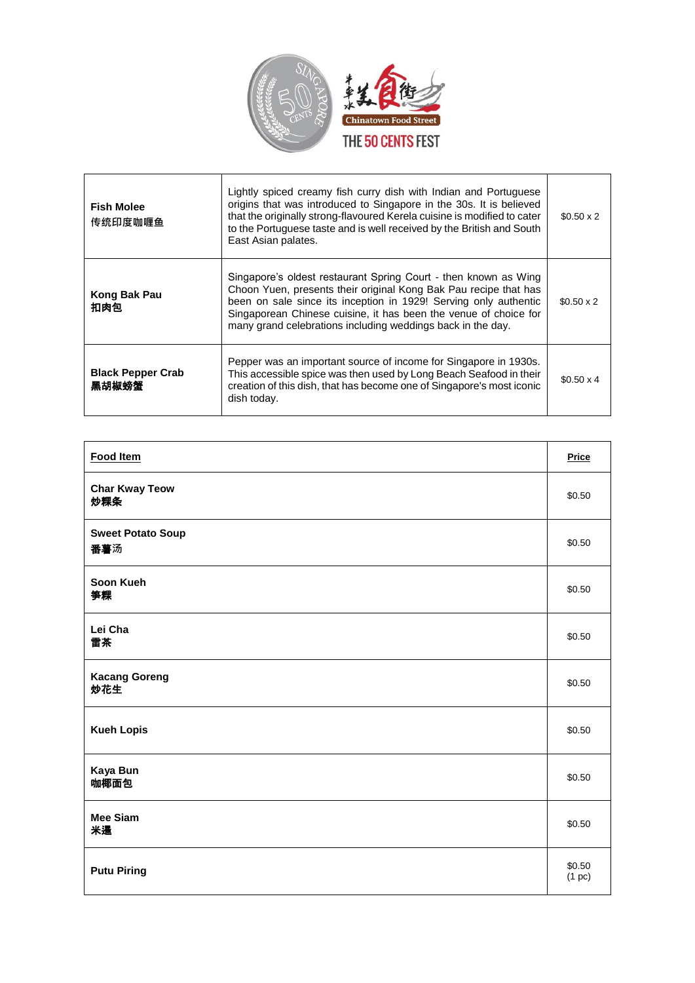

| <b>Fish Molee</b><br>传统印度咖喱鱼      | Lightly spiced creamy fish curry dish with Indian and Portuguese<br>origins that was introduced to Singapore in the 30s. It is believed<br>that the originally strong-flavoured Kerela cuisine is modified to cater<br>to the Portuguese taste and is well received by the British and South<br>East Asian palates.                        | $$0.50 \times 2$$ |
|-----------------------------------|--------------------------------------------------------------------------------------------------------------------------------------------------------------------------------------------------------------------------------------------------------------------------------------------------------------------------------------------|-------------------|
| Kong Bak Pau<br>扣肉包               | Singapore's oldest restaurant Spring Court - then known as Wing<br>Choon Yuen, presents their original Kong Bak Pau recipe that has<br>been on sale since its inception in 1929! Serving only authentic<br>Singaporean Chinese cuisine, it has been the venue of choice for<br>many grand celebrations including weddings back in the day. | $$0.50 \times 2$$ |
| <b>Black Pepper Crab</b><br>黑胡椒螃蟹 | Pepper was an important source of income for Singapore in 1930s.<br>This accessible spice was then used by Long Beach Seafood in their<br>creation of this dish, that has become one of Singapore's most iconic<br>dish today.                                                                                                             | $$0.50 \times 4$  |

| <b>Food Item</b>                | <b>Price</b>     |
|---------------------------------|------------------|
| <b>Char Kway Teow</b><br>炒粿条    | \$0.50           |
| <b>Sweet Potato Soup</b><br>番薯汤 | \$0.50           |
| Soon Kueh<br>笋粿                 | \$0.50           |
| Lei Cha<br>雷茶                   | \$0.50           |
| <b>Kacang Goreng</b><br>炒花生     | \$0.50           |
| <b>Kueh Lopis</b>               | \$0.50           |
| Kaya Bun<br>咖椰面包                | \$0.50           |
| <b>Mee Siam</b><br>米暹           | \$0.50           |
| <b>Putu Piring</b>              | \$0.50<br>(1~pc) |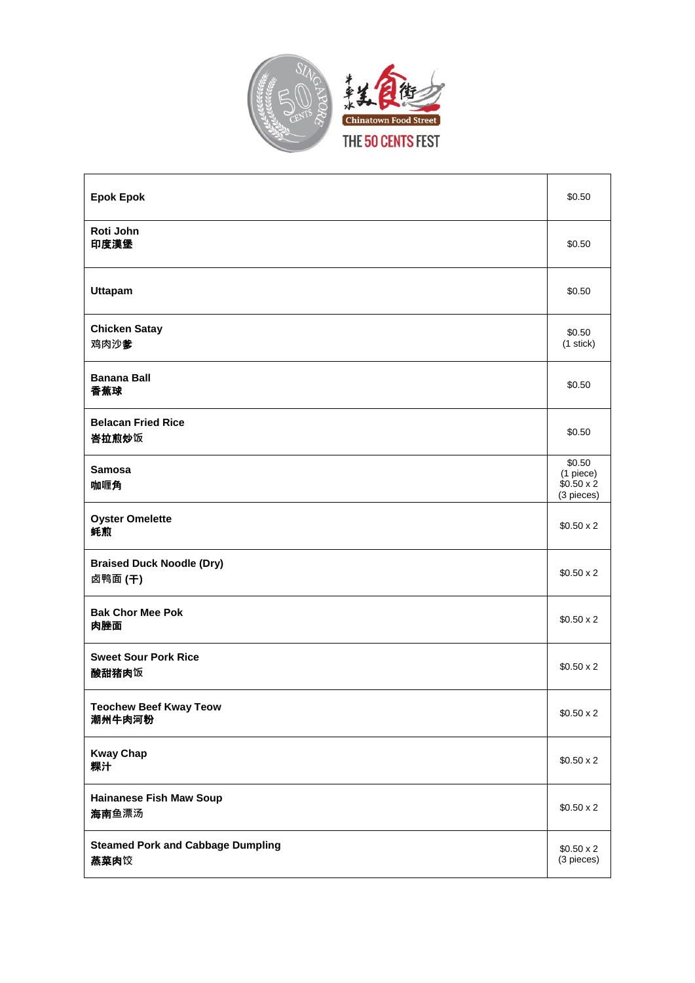

| <b>Epok Epok</b>                                 | \$0.50                                                 |
|--------------------------------------------------|--------------------------------------------------------|
| Roti John<br>印度漢堡                                | \$0.50                                                 |
| <b>Uttapam</b>                                   | \$0.50                                                 |
| <b>Chicken Satay</b><br>鸡肉沙爹                     | \$0.50<br>$(1$ stick $)$                               |
| <b>Banana Ball</b><br>香蕉球                        | \$0.50                                                 |
| <b>Belacan Fried Rice</b><br>峇拉煎炒饭               | \$0.50                                                 |
| <b>Samosa</b><br>咖喱角                             | \$0.50<br>(1 piece)<br>$$0.50 \times 2$$<br>(3 pieces) |
| <b>Oyster Omelette</b><br>蚝煎                     | $$0.50 \times 2$$                                      |
| <b>Braised Duck Noodle (Dry)</b><br>卤鸭面 (干)      | $$0.50 \times 2$$                                      |
| <b>Bak Chor Mee Pok</b><br>肉脞面                   | $$0.50 \times 2$$                                      |
| <b>Sweet Sour Pork Rice</b><br>酸甜猪肉饭             | $$0.50 \times 2$$                                      |
| <b>Teochew Beef Kway Teow</b><br>潮州牛肉河粉          | $$0.50 \times 2$$                                      |
| <b>Kway Chap</b><br>粿汁                           | $$0.50 \times 2$$                                      |
| <b>Hainanese Fish Maw Soup</b><br>海南鱼漂汤          | $$0.50 \times 2$$                                      |
| <b>Steamed Pork and Cabbage Dumpling</b><br>蒸菜肉饺 | $$0.50 \times 2$$<br>(3 pieces)                        |